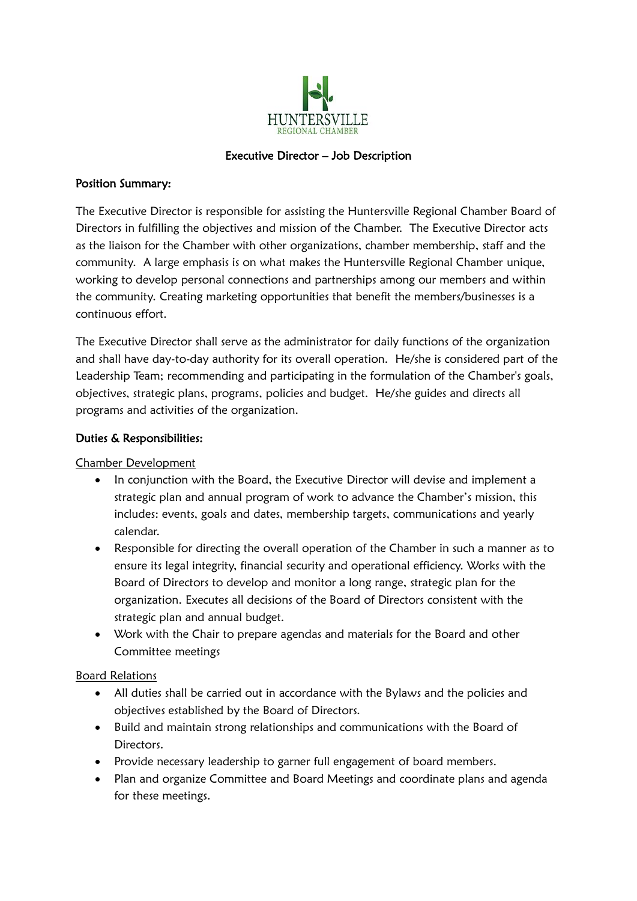

### Executive Director – Job Description

### Position Summary:

The Executive Director is responsible for assisting the Huntersville Regional Chamber Board of Directors in fulfilling the objectives and mission of the Chamber. The Executive Director acts as the liaison for the Chamber with other organizations, chamber membership, staff and the community. A large emphasis is on what makes the Huntersville Regional Chamber unique, working to develop personal connections and partnerships among our members and within the community. Creating marketing opportunities that benefit the members/businesses is a continuous effort.

The Executive Director shall serve as the administrator for daily functions of the organization and shall have day-to-day authority for its overall operation. He/she is considered part of the Leadership Team; recommending and participating in the formulation of the Chamber's goals, objectives, strategic plans, programs, policies and budget. He/she guides and directs all programs and activities of the organization.

# Duties & Responsibilities:

Chamber Development

- In conjunction with the Board, the Executive Director will devise and implement a strategic plan and annual program of work to advance the Chamber's mission, this includes: events, goals and dates, membership targets, communications and yearly calendar.
- Responsible for directing the overall operation of the Chamber in such a manner as to ensure its legal integrity, financial security and operational efficiency. Works with the Board of Directors to develop and monitor a long range, strategic plan for the organization. Executes all decisions of the Board of Directors consistent with the strategic plan and annual budget.
- Work with the Chair to prepare agendas and materials for the Board and other Committee meetings

#### Board Relations

- All duties shall be carried out in accordance with the Bylaws and the policies and objectives established by the Board of Directors.
- Build and maintain strong relationships and communications with the Board of Directors.
- Provide necessary leadership to garner full engagement of board members.
- Plan and organize Committee and Board Meetings and coordinate plans and agenda for these meetings.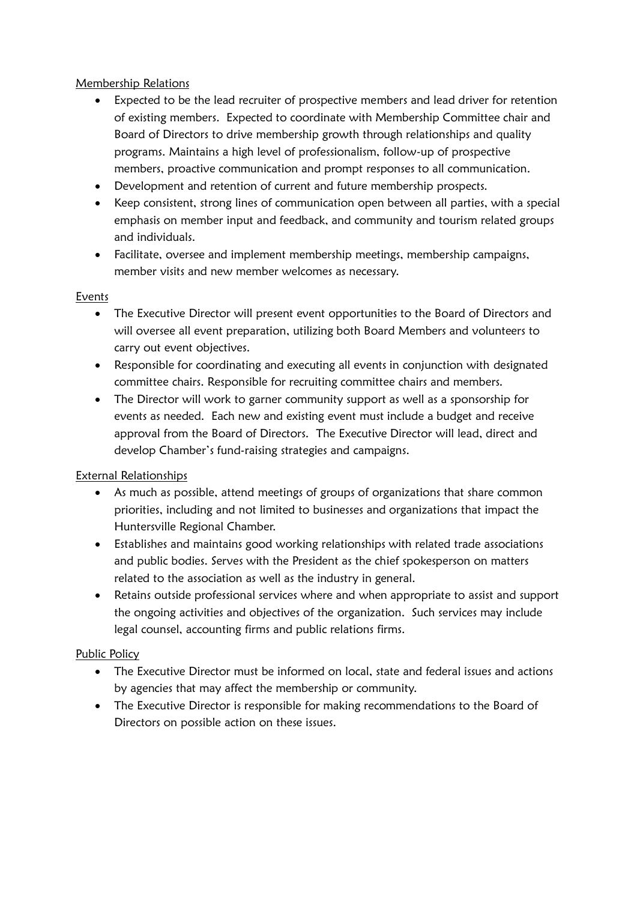### Membership Relations

- Expected to be the lead recruiter of prospective members and lead driver for retention of existing members. Expected to coordinate with Membership Committee chair and Board of Directors to drive membership growth through relationships and quality programs. Maintains a high level of professionalism, follow‐up of prospective members, proactive communication and prompt responses to all communication.
- Development and retention of current and future membership prospects.
- Keep consistent, strong lines of communication open between all parties, with a special emphasis on member input and feedback, and community and tourism related groups and individuals.
- Facilitate, oversee and implement membership meetings, membership campaigns, member visits and new member welcomes as necessary.

### Events

- The Executive Director will present event opportunities to the Board of Directors and will oversee all event preparation, utilizing both Board Members and volunteers to carry out event objectives.
- Responsible for coordinating and executing all events in conjunction with designated committee chairs. Responsible for recruiting committee chairs and members.
- The Director will work to garner community support as well as a sponsorship for events as needed. Each new and existing event must include a budget and receive approval from the Board of Directors. The Executive Director will lead, direct and develop Chamber's fund-raising strategies and campaigns.

# External Relationships

- As much as possible, attend meetings of groups of organizations that share common priorities, including and not limited to businesses and organizations that impact the Huntersville Regional Chamber.
- Establishes and maintains good working relationships with related trade associations and public bodies. Serves with the President as the chief spokesperson on matters related to the association as well as the industry in general.
- Retains outside professional services where and when appropriate to assist and support the ongoing activities and objectives of the organization. Such services may include legal counsel, accounting firms and public relations firms.

# Public Policy

- The Executive Director must be informed on local, state and federal issues and actions by agencies that may affect the membership or community.
- The Executive Director is responsible for making recommendations to the Board of Directors on possible action on these issues.